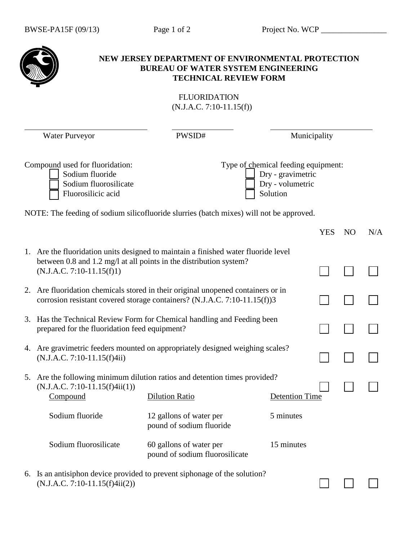|                                                   |                                                                                                                                                                                         | NEW JERSEY DEPARTMENT OF ENVIRONMENTAL PROTECTION<br><b>BUREAU OF WATER SYSTEM ENGINEERING</b><br><b>TECHNICAL REVIEW FORM</b> |                                                                                          |              |                |     |  |  |  |
|---------------------------------------------------|-----------------------------------------------------------------------------------------------------------------------------------------------------------------------------------------|--------------------------------------------------------------------------------------------------------------------------------|------------------------------------------------------------------------------------------|--------------|----------------|-----|--|--|--|
| <b>FLUORIDATION</b><br>$(N.J.A.C. 7:10-11.15(f))$ |                                                                                                                                                                                         |                                                                                                                                |                                                                                          |              |                |     |  |  |  |
| <b>Water Purveyor</b>                             |                                                                                                                                                                                         | PWSID#                                                                                                                         |                                                                                          | Municipality |                |     |  |  |  |
|                                                   | Compound used for fluoridation:<br>Sodium fluoride<br>Sodium fluorosilicate<br>Fluorosilicic acid                                                                                       |                                                                                                                                | Type of chemical feeding equipment:<br>Dry - gravimetric<br>Dry - volumetric<br>Solution |              |                |     |  |  |  |
|                                                   | NOTE: The feeding of sodium silicofluoride slurries (batch mixes) will not be approved.                                                                                                 |                                                                                                                                |                                                                                          |              |                |     |  |  |  |
|                                                   |                                                                                                                                                                                         |                                                                                                                                |                                                                                          | <b>YES</b>   | N <sub>O</sub> | N/A |  |  |  |
|                                                   | 1. Are the fluoridation units designed to maintain a finished water fluoride level<br>between 0.8 and 1.2 mg/l at all points in the distribution system?<br>$(N.J.A.C. 7:10-11.15(f)1)$ |                                                                                                                                |                                                                                          |              |                |     |  |  |  |
| 2.                                                | Are fluoridation chemicals stored in their original unopened containers or in<br>corrosion resistant covered storage containers? (N.J.A.C. 7:10-11.15(f))3                              |                                                                                                                                |                                                                                          |              |                |     |  |  |  |
| 3.                                                | Has the Technical Review Form for Chemical handling and Feeding been<br>prepared for the fluoridation feed equipment?                                                                   |                                                                                                                                |                                                                                          |              |                |     |  |  |  |
|                                                   | 4. Are gravimetric feeders mounted on appropriately designed weighing scales?<br>(N.J.A.C. 7:10-11.15(f)4ii)                                                                            |                                                                                                                                |                                                                                          |              |                |     |  |  |  |
|                                                   | 5. Are the following minimum dilution ratios and detention times provided?<br>$(N.J.A.C. 7:10-11.15(f)4ii(1))$<br>Compound                                                              | <b>Dilution Ratio</b>                                                                                                          | <b>Detention Time</b>                                                                    |              |                |     |  |  |  |
|                                                   | Sodium fluoride                                                                                                                                                                         | 12 gallons of water per<br>pound of sodium fluoride                                                                            | 5 minutes                                                                                |              |                |     |  |  |  |
|                                                   | Sodium fluorosilicate                                                                                                                                                                   | 60 gallons of water per<br>pound of sodium fluorosilicate                                                                      | 15 minutes                                                                               |              |                |     |  |  |  |
|                                                   | 6. Is an antisiphon device provided to prevent siphonage of the solution?<br>$(N.J.A.C. 7:10-11.15(f)4ii(2))$                                                                           |                                                                                                                                |                                                                                          |              |                |     |  |  |  |